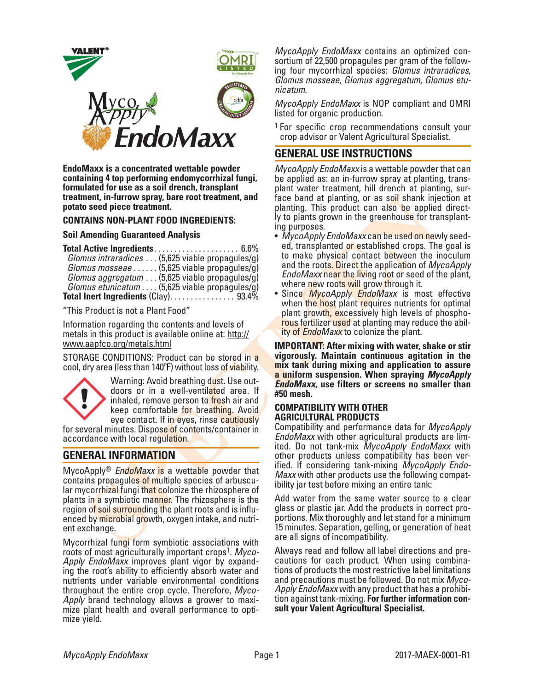

**EndoMaxx is a concentrated wettable powder containing 4 top performing endomycorrhizal fungi, formulated for use as a soil drench, transplant treatment, in-furrow spray, bare root treatment, and potato seed piece treatment.**

### **CONTAINS NON-PLANT FOOD INGREDIENTS:**

#### **Soil Amending Guaranteed Analysis**

**Total Active Ingredients**. . . . . . . . . . . . . . . . . . . . . 6.6%

| Glomus intraradices  (5,625 viable propagules/g)     |  |
|------------------------------------------------------|--|
| Glomus mosseae $(5,625 \text{ viable propagules/g})$ |  |
|                                                      |  |
| Glomus aggregatum  (5,625 viable propagules/g)       |  |
| Glomus etunicatum  (5,625 viable propagules/g)       |  |
| Total Inert Ingredients $(Clay)$ 93.4%               |  |

"This Product is not a Plant Food"

Information regarding the contents and levels of metals in this product is available online at: http:// www.aapfco.org/metals.html

STORAGE CONDITIONS: Product can be stored in a cool, dry area (less than 140ºF) without loss of viability.



Warning: Avoid breathing dust. Use out-<br>doors or in a well-ventilated area. If inhaled, remove person to fresh air and keep comfortable for breathing. Avoid eye contact. If in eyes, rinse cautiously

for several minutes. Dispose of contents/container in accordance with local regulation.

# **GENERAL INFORMATION**

MycoApply® *EndoMaxx* is a wettable powder that contains propagules of multiple species of arbuscular mycorrhizal fungi that colonize the rhizosphere of plants in a symbiotic manner. The rhizosphere is the region of soil surrounding the plant roots and is influenced by microbial growth, oxygen intake, and nutrient exchange.

Mycorrhizal fungi form symbiotic associations with roots of most agriculturally important crops<sup>1</sup>. Myco-Apply EndoMaxx improves plant vigor by expand-<br>ing the root's ability to efficiently absorb water and nutrients under variable environmental conditions throughout the entire crop cycle. Therefore, *Myco- Apply* brand technology allows a grower to maxi- mize plant health and overall performance to opti- mize yield.

*MycoApply EndoMaxx* contains an optimized consortium of 22,500 propagules per gram of the following four mycorrhizal species: *Glomus intraradices*, *Glomus mosseae*, *Glomus aggregatum*, *Glomus etu- nicatum*.

*MycoApply EndoMaxx* is NOP compliant and OMRI listed for organic production.

<sup>1</sup> For specific crop recommendations consult your crop advisor or Valent Agricultural Specialist.

# **GENERAL USE INSTRUCTIONS**

*MycoApply EndoMaxx* is a wettable powder that can be applied as: an in-furrow spray at planting, transplant water treatment, hill drench at planting, surface band at planting, or as soil shank injection at planting. This product can also be applied directly to plants grown in the greenhouse for transplanting purposes.

- *MycoApply EndoMaxx* can be used on newly seed- ed, transplanted or established crops. The goal is to make physical contact between the inoculum and the roots. Direct the application of *MycoApply EndoMaxx* near the living root or seed of the plant, where new roots will grow through it.
- Since *MycoApply EndoMaxx* is most effective when the host plant requires nutrients for optimal<br>plant growth, excessively high levels of phosphorous fertilizer used at planting may reduce the abil-<br>ity of *EndoMaxx* to colonize the plant.

**IMPORTANT: After mixing with water, shake or stir vigorously. Maintain continuous agitation in the mix tank during mixing and application to assure a uniform suspension. When spraying** *MycoApply EndoMaxx,* **use filters or screens no smaller than #50 mesh.** 

### **COMPATIBILITY WITH OTHER AGRICULTURAL PRODUCTS**

Compatibility and performance data for *MycoApply EndoMaxx* with other agricultural products are lim-<br>ited. Do not tank-mix *MycoApply EndoMaxx* with<br>other products unless compatibility has been verified. If considering tank-mixing *MycoApply Endo-<br><i>Maxx* with other products use the following compat-<br>ibility jar test before mixing an entire tank:

Add water from the same water source to a clear glass or plastic jar. Add the products in correct proportions. Mix thoroughly and let stand for a minimum 15 minutes. Separation, gelling, or generation of heat are all signs of incompatibility.

Always read and follow all label directions and precautions for each product. When using combinations of products the most restrictive label limitations and precautions must be followed. Do not mix *Myco-Apply EndoMaxx* with any product that has a prohibition against tank-mixing. **For further information consult your Valent Agricultural Specialist.**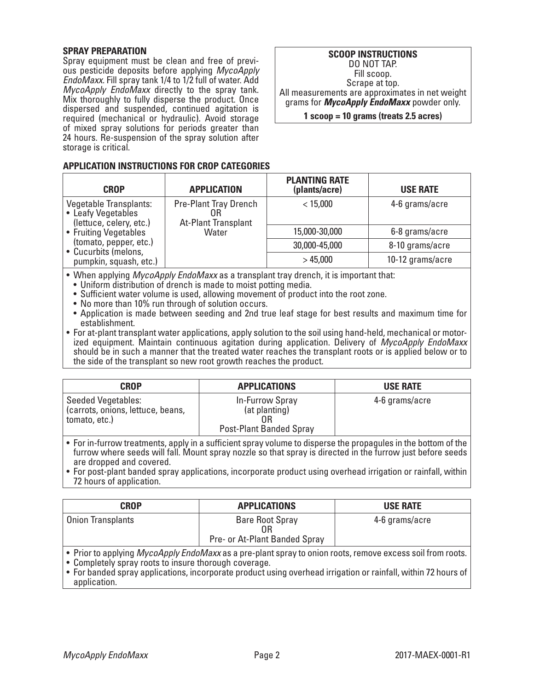## **SPRAY PREPARATION**

Spray equipment must be clean and free of previous pesticide deposits before applying *MycoApply EndoMaxx.* Fill spray tank 1/4 to 1/2 full of water. Add *MycoApply EndoMaxx* directly to the spray tank. Mix thoroughly to fully disperse the product. Once dispersed and sus required (mechanic of mixed spray sol 24 hours. Re-susper storage is critical.

## **APPLICATION INST**

| $1.11$ , $1.11$ , $1.11$ , $1.11$ , $1.11$<br>pended, continued agitation is<br>al or hydraulic). Avoid storage | grams for <i>wycoApply Endowaxx</i> powder only.<br>$1$ scoop = 10 grams (treats 2.5 acres) |                 |
|-----------------------------------------------------------------------------------------------------------------|---------------------------------------------------------------------------------------------|-----------------|
| utions for periods greater than<br>nsion of the spray solution after<br><b>RUCTIONS FOR CROP CATEGORIES</b>     |                                                                                             |                 |
|                                                                                                                 | <b>PLANTING RATE</b>                                                                        |                 |
| <b>APPLICATION</b>                                                                                              | (plants/acre)                                                                               | <b>USE RATE</b> |

grams for *MycoApply EndoMaxx* powder only.

**SCOOP INSTRUCTIONS** DO NOT TAP. Fill scoop. Scrape at top. All measurements are approximates in net weight

| <b>CROP</b>                                                                    | <b>APPLICATION</b>                                        | (plants/acre) | <b>USE RATE</b>  |
|--------------------------------------------------------------------------------|-----------------------------------------------------------|---------------|------------------|
| <b>Vegetable Transplants:</b><br>• Leafy Vegetables<br>(lettuce, celery, etc.) | <b>Pre-Plant Tray Drench</b><br>OΒ<br>At-Plant Transplant | $<$ 15,000    | 4-6 grams/acre   |
| • Fruiting Vegetables                                                          | Water                                                     | 15,000-30,000 | 6-8 grams/acre   |
| (tomato, pepper, etc.)<br>• Cucurbits (melons,                                 |                                                           | 30,000-45,000 | 8-10 grams/acre  |
| pumpkin, squash, etc.)                                                         |                                                           | >45,000       | 10-12 grams/acre |

• When applying *MycoApply EndoMaxx* as a transplant tray drench, it is important that:

• Uniform distribution of drench is made to moist potting media.

- Sufficient water volume is used, allowing movement of product into the root zone.
- No more than 10% run through of solution occurs.
- Application is made between seeding and 2nd true leaf stage for best results and maximum time for establishment.

• For at-plant transplant water applications, apply solution to the soil using hand-held, mechanical or motorized equipment. Maintain continuous agitation during application. Delivery of *MycoApply EndoMaxx* should be in such a manner that the treated water reaches the transplant roots or is applied below or to the side of the transplant so new root growth reaches the product.

| <b>CROP</b>                                                                     | <b>APPLICATIONS</b>                                         | <b>USE RATE</b> |
|---------------------------------------------------------------------------------|-------------------------------------------------------------|-----------------|
| <b>Seeded Vegetables:</b><br>(carrots, onions, lettuce, beans,<br>tomato, etc.) | In-Furrow Spray<br>(at planting)<br>Post-Plant Banded Spray | 4-6 grams/acre  |
|                                                                                 |                                                             |                 |

- For in-furrow treatments, apply in a sufficient spray volume to disperse the propagules in the bottom of the furrow where seeds will fall. Mount spray nozzle so that spray is directed in the furrow just before seeds are dropped and covered.
- For post-plant banded spray applications, incorporate product using overhead irrigation or rainfall, within 72 hours of application.

| <b>CROP</b>                                                                                                               | <b>APPLICATIONS</b>                                     | <b>USE RATE</b> |
|---------------------------------------------------------------------------------------------------------------------------|---------------------------------------------------------|-----------------|
| Onion Transplants                                                                                                         | <b>Bare Root Spray</b><br>Pre- or At-Plant Banded Spray | 4-6 grams/acre  |
| $\bullet$ Prior to applying <i>MycoApply EndoMaxx</i> as a pre-plant spray to onion roots, remove excess soil from roots. |                                                         |                 |

• Completely spray roots to insure thorough coverage.

• For banded spray applications, incorporate product using overhead irrigation or rainfall, within 72 hours of application.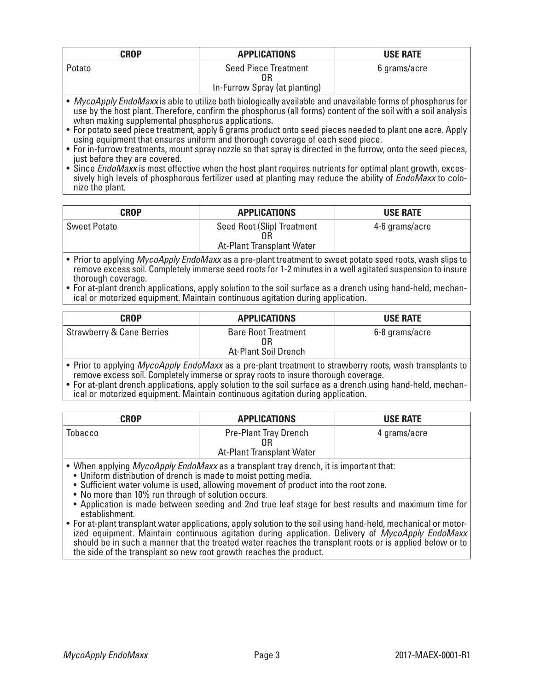| <b>CROP</b>                                                                                                 | <b>APPLICATIONS</b>                                          | <b>USE RATE</b> |
|-------------------------------------------------------------------------------------------------------------|--------------------------------------------------------------|-----------------|
| Potato                                                                                                      | <b>Seed Piece Treatment</b><br>In-Furrow Spray (at planting) | 6 grams/acre    |
| • MycoApply EndoMaxx is able to utilize both biologically available and unavailable forms of phosphorus for |                                                              |                 |

use by the host plant. Therefore, confirm the phosphorus (all forms) content of the soil with a soil analysis when making supplemental phosphorus applications.

• For potato seed piece treatment, apply 6 grams product onto seed pieces needed to plant one acre. Apply using equipment that ensures uniform and thorough coverage of each seed piece.

• For in-furrow treatments, mount spray nozzle so that spray is directed in the furrow, onto the seed pieces, just before they are covered.

• Since *EndoMaxx* is most effective when the host plant requires nutrients for optimal plant growth, excessively high levels of phosphorous fertilizer used at planting may reduce the ability of *EndoMaxx* to colonize the plant.

| CROP                | <b>APPLICATIONS</b>                                     | <b>USE RATE</b> |
|---------------------|---------------------------------------------------------|-----------------|
| <b>Sweet Potato</b> | Seed Root (Slip) Treatment<br>At-Plant Transplant Water | 4-6 grams/acre  |
| _ . _ _ _           |                                                         |                 |

• Prior to applying *MycoApply EndoMaxx* as a pre-plant treatment to sweet potato seed roots, wash slips to remove excess soil. Completely immerse seed roots for 1-2 minutes in a well agitated suspension to insure thorough coverage.

• For at-plant drench applications, apply solution to the soil surface as a drench using hand-held, mechan-<br>ical or motorized equipment. Maintain continuous agitation during application.

| <b>CROP</b>                                                                                                    | <b>APPLICATIONS</b>                                             | <b>USE RATE</b> |
|----------------------------------------------------------------------------------------------------------------|-----------------------------------------------------------------|-----------------|
| Strawberry & Cane Berries                                                                                      | <b>Bare Root Treatment</b><br>0R<br><b>At-Plant Soil Drench</b> | 6-8 grams/acre  |
| re Datante rombaton Adriardamente Fordaddenno e a composició de cinemato território con un este considerado de |                                                                 |                 |

• Prior to applying *MycoApply EndoMaxx* as a pre-plant treatment to strawberry roots, wash transplants to remove excess soil. Completely immerse or spray roots to insure thorough coverage.

• For at-plant drench applications, apply solution to the soil surface as a drench using hand-held, mechanical or motorized equipment. Maintain continuous agitation during application.

| <b>CROP</b> | <b>APPLICATIONS</b>                                             | <b>USE RATE</b> |
|-------------|-----------------------------------------------------------------|-----------------|
| Tobacco     | <b>Pre-Plant Tray Drench</b><br>ΩR<br>At-Plant Transplant Water | 4 grams/acre    |

• When applying *MycoApply EndoMaxx* as a transplant tray drench, it is important that:

• Uniform distribution of drench is made to moist potting media.

• Sufficient water volume is used, allowing movement of product into the root zone.

• No more than 10% run through of solution occurs.

• Application is made between seeding and 2nd true leaf stage for best results and maximum time for establishment.

• For at-plant transplant water applications, apply solution to the soil using hand-held, mechanical or motorized equipment. Maintain continuous agitation during application. Delivery of *MycoApply EndoMaxx* should be in such a manner that the treated water reaches the transplant roots or is applied below or to the side of the transplant so new root growth reaches the product.